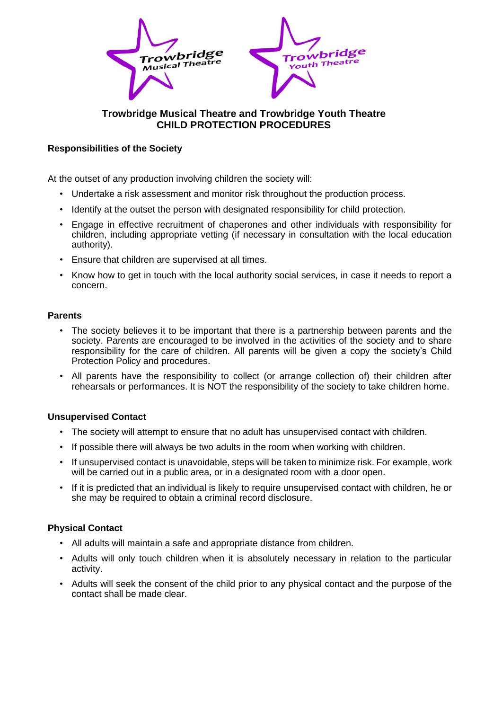

# **Trowbridge Musical Theatre and Trowbridge Youth Theatre CHILD PROTECTION PROCEDURES**

### **Responsibilities of the Society**

At the outset of any production involving children the society will:

- Undertake a risk assessment and monitor risk throughout the production process.
- Identify at the outset the person with designated responsibility for child protection.
- Engage in effective recruitment of chaperones and other individuals with responsibility for children, including appropriate vetting (if necessary in consultation with the local education authority).
- Ensure that children are supervised at all times.
- Know how to get in touch with the local authority social services, in case it needs to report a concern.

#### **Parents**

- The society believes it to be important that there is a partnership between parents and the society. Parents are encouraged to be involved in the activities of the society and to share responsibility for the care of children. All parents will be given a copy the society's Child Protection Policy and procedures.
- All parents have the responsibility to collect (or arrange collection of) their children after rehearsals or performances. It is NOT the responsibility of the society to take children home.

### **Unsupervised Contact**

- The society will attempt to ensure that no adult has unsupervised contact with children.
- If possible there will always be two adults in the room when working with children.
- If unsupervised contact is unavoidable, steps will be taken to minimize risk. For example, work will be carried out in a public area, or in a designated room with a door open.
- If it is predicted that an individual is likely to require unsupervised contact with children, he or she may be required to obtain a criminal record disclosure.

### **Physical Contact**

- All adults will maintain a safe and appropriate distance from children.
- Adults will only touch children when it is absolutely necessary in relation to the particular activity.
- Adults will seek the consent of the child prior to any physical contact and the purpose of the contact shall be made clear.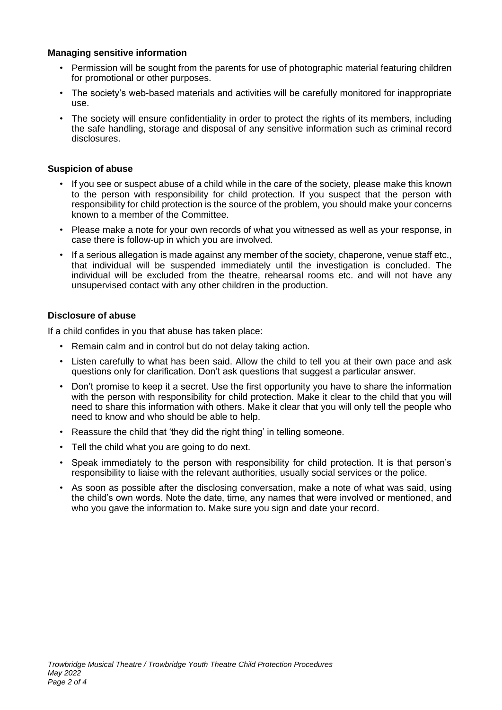#### **Managing sensitive information**

- Permission will be sought from the parents for use of photographic material featuring children for promotional or other purposes.
- The society's web-based materials and activities will be carefully monitored for inappropriate use.
- The society will ensure confidentiality in order to protect the rights of its members, including the safe handling, storage and disposal of any sensitive information such as criminal record disclosures.

#### **Suspicion of abuse**

- If you see or suspect abuse of a child while in the care of the society, please make this known to the person with responsibility for child protection. If you suspect that the person with responsibility for child protection is the source of the problem, you should make your concerns known to a member of the Committee.
- Please make a note for your own records of what you witnessed as well as your response, in case there is follow-up in which you are involved.
- If a serious allegation is made against any member of the society, chaperone, venue staff etc., that individual will be suspended immediately until the investigation is concluded. The individual will be excluded from the theatre, rehearsal rooms etc. and will not have any unsupervised contact with any other children in the production.

#### **Disclosure of abuse**

If a child confides in you that abuse has taken place:

- Remain calm and in control but do not delay taking action.
- Listen carefully to what has been said. Allow the child to tell you at their own pace and ask questions only for clarification. Don't ask questions that suggest a particular answer.
- Don't promise to keep it a secret. Use the first opportunity you have to share the information with the person with responsibility for child protection. Make it clear to the child that you will need to share this information with others. Make it clear that you will only tell the people who need to know and who should be able to help.
- Reassure the child that 'they did the right thing' in telling someone.
- Tell the child what you are going to do next.
- Speak immediately to the person with responsibility for child protection. It is that person's responsibility to liaise with the relevant authorities, usually social services or the police.
- As soon as possible after the disclosing conversation, make a note of what was said, using the child's own words. Note the date, time, any names that were involved or mentioned, and who you gave the information to. Make sure you sign and date your record.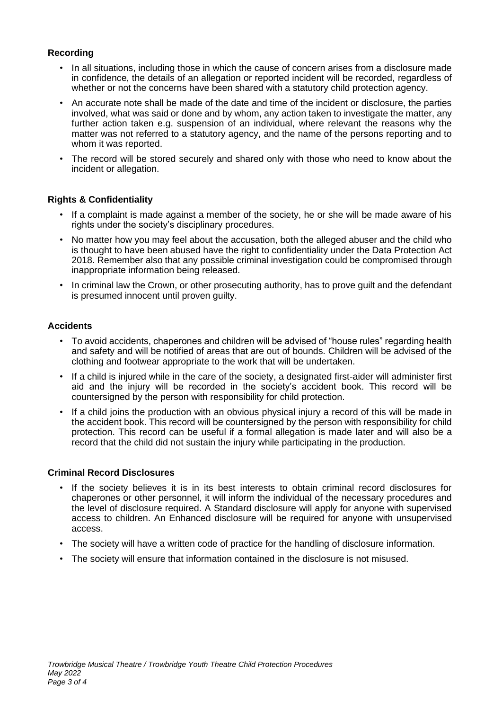### **Recording**

- In all situations, including those in which the cause of concern arises from a disclosure made in confidence, the details of an allegation or reported incident will be recorded, regardless of whether or not the concerns have been shared with a statutory child protection agency.
- An accurate note shall be made of the date and time of the incident or disclosure, the parties involved, what was said or done and by whom, any action taken to investigate the matter, any further action taken e.g. suspension of an individual, where relevant the reasons why the matter was not referred to a statutory agency, and the name of the persons reporting and to whom it was reported.
- The record will be stored securely and shared only with those who need to know about the incident or allegation.

## **Rights & Confidentiality**

- If a complaint is made against a member of the society, he or she will be made aware of his rights under the society's disciplinary procedures.
- No matter how you may feel about the accusation, both the alleged abuser and the child who is thought to have been abused have the right to confidentiality under the Data Protection Act 2018. Remember also that any possible criminal investigation could be compromised through inappropriate information being released.
- In criminal law the Crown, or other prosecuting authority, has to prove quilt and the defendant is presumed innocent until proven guilty.

### **Accidents**

- To avoid accidents, chaperones and children will be advised of "house rules" regarding health and safety and will be notified of areas that are out of bounds. Children will be advised of the clothing and footwear appropriate to the work that will be undertaken.
- If a child is injured while in the care of the society, a designated first-aider will administer first aid and the injury will be recorded in the society's accident book. This record will be countersigned by the person with responsibility for child protection.
- If a child joins the production with an obvious physical injury a record of this will be made in the accident book. This record will be countersigned by the person with responsibility for child protection. This record can be useful if a formal allegation is made later and will also be a record that the child did not sustain the injury while participating in the production.

### **Criminal Record Disclosures**

- If the society believes it is in its best interests to obtain criminal record disclosures for chaperones or other personnel, it will inform the individual of the necessary procedures and the level of disclosure required. A Standard disclosure will apply for anyone with supervised access to children. An Enhanced disclosure will be required for anyone with unsupervised access.
- The society will have a written code of practice for the handling of disclosure information.
- The society will ensure that information contained in the disclosure is not misused.